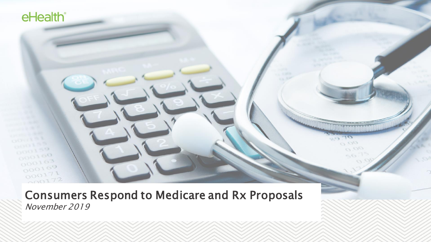Consumers Respond to Medicare and Rx Proposals November 2019

0.00  $O$   $O$ 

 $r = 1$ 

eHealth<sup>®</sup>

 $000100$ 

 $000163$  $000169$  $000171$  $000172$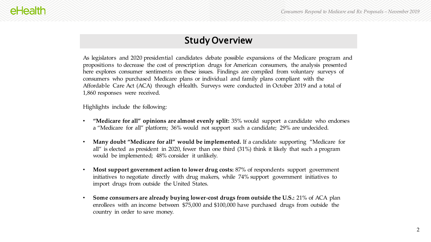# Study Overview

As legislators and 2020 presidential candidates debate possible expansions of the Medicare program and propositions to decrease the cost of prescription drugs for American consumers, the analysis presented here explores consumer sentiments on these issues. Findings are compiled from voluntary surveys of consumers who purchased Medicare plans or individual and family plans compliant with the Affordable Care Act (ACA) through eHealth. Surveys were conducted in October 2019 and a total of 1,860 responses were received.

Highlights include the following:

- **"Medicare for all" opinions are almost evenly split:** 35% would support a candidate who endorses a "Medicare for all" platform; 36% would not support such a candidate; 29% are undecided.
- **Many doubt "Medicare for all" would be implemented.** If a candidate supporting "Medicare for all" is elected as president in 2020, fewer than one third (31%) think it likely that such a program would be implemented; 48% consider it unlikely.
- **Most support government action to lower drug costs:** 87% of respondents support government initiatives to negotiate directly with drug makers, while 74% support government initiatives to import drugs from outside the United States.
- **Some consumers are already buying lower-cost drugs from outside the U.S.:** 21% of ACA plan enrollees with an income between \$75,000 and \$100,000 have purchased drugs from outside the country in order to save money.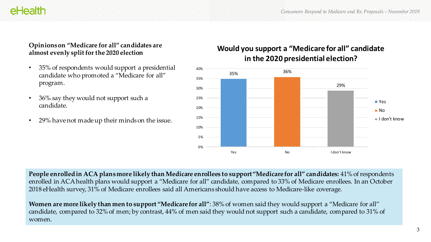# eHealth

#### **Opinions on "Medicare for all" candidates are almost evenly split for the 2020 election**

- 35% of respondents would support a presidential candidate who promoted a "Medicare for all" program.
- 36% say they would not support such a candidate.
- 29% have not made up their minds on the issue.

## **Would you support a "Medicare for all" candidate in the 2020 presidential election?**



**People enrolled in ACA plans more likely than Medicare enrollees to support "Medicare for all" candidates:** 41% of respondents enrolled in ACA health plans would support a "Medicare for all" candidate, compared to 33% of Medicare enrollees. In an October 2018 eHealth survey, 31% of Medicare enrollees said all Americans should have access to Medicare-like coverage.

**Women are more likely than men to support "Medicare for all"**: 38% of women said they would support a "Medicare for all" candidate, compared to 32% of men; by contrast, 44% of men said they would not support such a candidate, compared to 31% of women.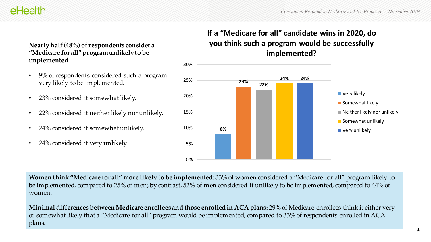# eHealth

#### **Nearly half (48%) of respondents consider a "Medicare for all" program unlikely to be implemented**

- 9% of respondents considered such a program very likely to be implemented.
- 23% considered it somewhat likely.
- 22% considered it neither likely nor unlikely.
- 24% considered it somewhat unlikely.
- 24% considered it very unlikely.

# **If a "Medicare for all" candidate wins in 2020, do you think such a program would be successfully implemented?**



**Women think "Medicare for all" more likely to be implemented**: 33% of women considered a "Medicare for all" program likely to be implemented, compared to 25% of men; by contrast, 52% of men considered it unlikely to be implemented, compared to 44% of women.

**Minimal differences between Medicare enrollees and those enrolled in ACA plans:** 29% of Medicare enrollees think it either very or somewhat likely that a "Medicare for all" program would be implemented, compared to 33% of respondents enrolled in ACA plans.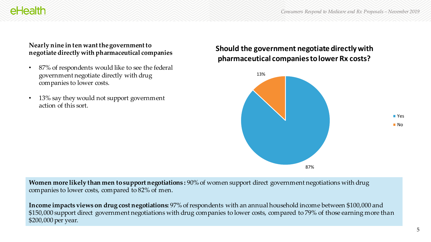# **Nearly nine in ten want the government to negotiate directly with pharmaceutical companies**

eHealth

- 87% of respondents would like to see the federal government negotiate directly with drug companies to lower costs.
- 13% say they would not support government action of this sort.

## **Should the government negotiate directly with pharmaceutical companies to lower Rx costs?**



**Women more likely than men to support negotiations :** 90% of women support direct government negotiations with drug companies to lower costs, compared to 82% of men.

**Income impacts views on drug cost negotiations:** 97% of respondents with an annual household income between \$100,000 and \$150,000 support direct government negotiations with drug companies to lower costs, compared to 79% of those earning more than \$200,000 per year.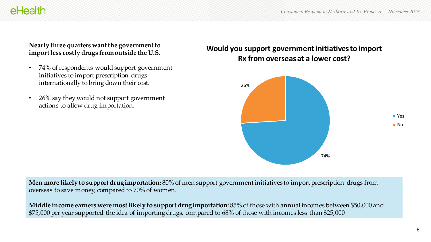#### **Nearly three quarters want the government to import less costly drugs from outside the U.S.**

eHealth

- 74% of respondents would support government initiatives to import prescription drugs internationally to bring down their cost.
- 26% say they would not support government actions to allow drug importation.

### **Would you support government initiatives to import Rx from overseas at a lower cost?**



**Men more likely to support drug importation:** 80% of men support government initiatives to import prescription drugs from overseas to save money, compared to 70% of women.

**Middle income earners were most likely to support drug importation**: 85% of those with annual incomes between \$50,000 and \$75,000 per year supported the idea of importing drugs, compared to 68% of those with incomes less than \$25,000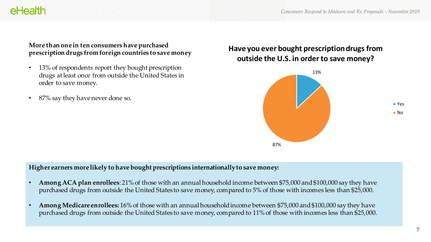#### **More than one in ten consumers have purchased prescription drugs from foreign countries to save money**

- 13% of respondents report they bought prescription drugs at least once from outside the United States in order to save money.
- 87% say they have never done so.

eHealth

## **Have you ever bought prescription drugs from outside the U.S. in order to save money?**



#### **Higher earners more likely to have bought prescriptions internationally to save money:**

- **Among ACA plan enrollees**: 21% of those with an annual household income between \$75,000 and \$100,000 say they have purchased drugs from outside the United States to save money, compared to 5% of those with incomes less than \$25,000.
- **Among Medicare enrollees:** 16% of those with an annual household income between \$75,000 and \$100,000 say they have purchased drugs from outside the United States to save money, compared to 11% of those with incomes less than \$25,000.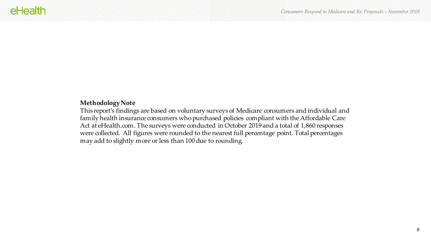#### **Methodology Note**

This report's findings are based on voluntary surveys of Medicare consumers and individual and family health insurance consumers who purchased policies compliant with the Affordable Care Act at eHealth.com. The surveys were conducted in October 2019 and a total of 1,860 responses were collected. All figures were rounded to the nearest full percentage point. Total percentages may add to slightly more or less than 100 due to rounding.